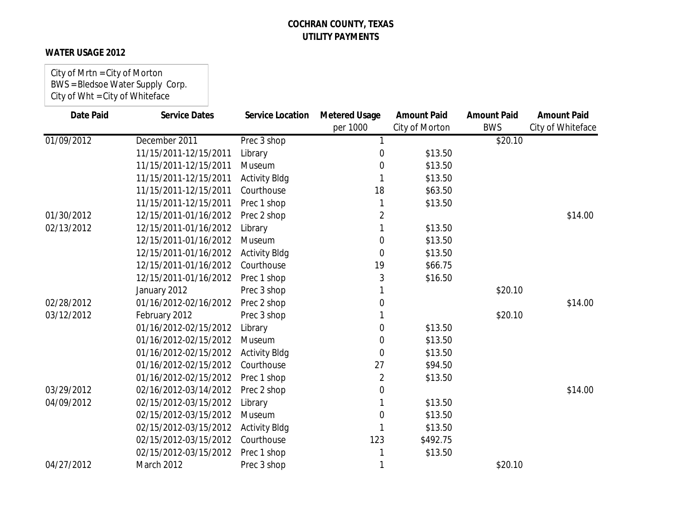### **WATER USAGE 2012**

City of Mrtn = City of Morton BWS = Bledsoe Water Supply Corp. City of Wht = City of Whiteface

| <b>Date Paid</b> | <b>Service Dates</b>  | <b>Service Location</b> | <b>Metered Usage</b> | <b>Amount Paid</b> | <b>Amount Paid</b> | <b>Amount Paid</b> |
|------------------|-----------------------|-------------------------|----------------------|--------------------|--------------------|--------------------|
|                  |                       |                         | per 1000             | City of Morton     | <b>BWS</b>         | City of Whiteface  |
| 01/09/2012       | December 2011         | Prec 3 shop             | 1                    |                    | \$20.10            |                    |
|                  | 11/15/2011-12/15/2011 | Library                 | 0                    | \$13.50            |                    |                    |
|                  | 11/15/2011-12/15/2011 | Museum                  | 0                    | \$13.50            |                    |                    |
|                  | 11/15/2011-12/15/2011 | <b>Activity Bldg</b>    |                      | \$13.50            |                    |                    |
|                  | 11/15/2011-12/15/2011 | Courthouse              | 18                   | \$63.50            |                    |                    |
|                  | 11/15/2011-12/15/2011 | Prec 1 shop             |                      | \$13.50            |                    |                    |
| 01/30/2012       | 12/15/2011-01/16/2012 | Prec 2 shop             | $\overline{2}$       |                    |                    | \$14.00            |
| 02/13/2012       | 12/15/2011-01/16/2012 | Library                 |                      | \$13.50            |                    |                    |
|                  | 12/15/2011-01/16/2012 | Museum                  | 0                    | \$13.50            |                    |                    |
|                  | 12/15/2011-01/16/2012 | <b>Activity Bldg</b>    | 0                    | \$13.50            |                    |                    |
|                  | 12/15/2011-01/16/2012 | Courthouse              | 19                   | \$66.75            |                    |                    |
|                  | 12/15/2011-01/16/2012 | Prec 1 shop             | 3                    | \$16.50            |                    |                    |
|                  | January 2012          | Prec 3 shop             |                      |                    | \$20.10            |                    |
| 02/28/2012       | 01/16/2012-02/16/2012 | Prec 2 shop             | 0                    |                    |                    | \$14.00            |
| 03/12/2012       | February 2012         | Prec 3 shop             |                      |                    | \$20.10            |                    |
|                  | 01/16/2012-02/15/2012 | Library                 | 0                    | \$13.50            |                    |                    |
|                  | 01/16/2012-02/15/2012 | Museum                  | 0                    | \$13.50            |                    |                    |
|                  | 01/16/2012-02/15/2012 | <b>Activity Bldg</b>    | 0                    | \$13.50            |                    |                    |
|                  | 01/16/2012-02/15/2012 | Courthouse              | 27                   | \$94.50            |                    |                    |
|                  | 01/16/2012-02/15/2012 | Prec 1 shop             | $\overline{2}$       | \$13.50            |                    |                    |
| 03/29/2012       | 02/16/2012-03/14/2012 | Prec 2 shop             | 0                    |                    |                    | \$14.00            |
| 04/09/2012       | 02/15/2012-03/15/2012 | Library                 |                      | \$13.50            |                    |                    |
|                  | 02/15/2012-03/15/2012 | Museum                  | 0                    | \$13.50            |                    |                    |
|                  | 02/15/2012-03/15/2012 | <b>Activity Bldg</b>    |                      | \$13.50            |                    |                    |
|                  | 02/15/2012-03/15/2012 | Courthouse              | 123                  | \$492.75           |                    |                    |
|                  | 02/15/2012-03/15/2012 | Prec 1 shop             |                      | \$13.50            |                    |                    |
| 04/27/2012       | March 2012            | Prec 3 shop             | 1                    |                    | \$20.10            |                    |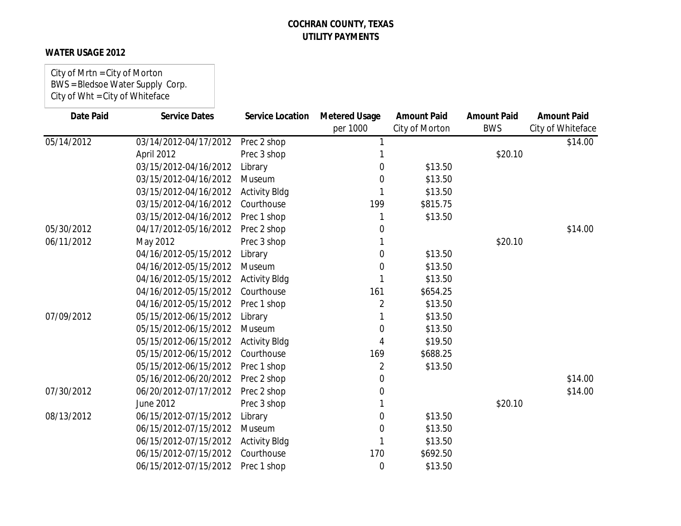### **WATER USAGE 2012**

City of Mrtn = City of Morton BWS = Bledsoe Water Supply Corp. City of Wht = City of Whiteface

| Date Paid  | <b>Service Dates</b>  | <b>Service Location</b> | <b>Metered Usage</b><br>per 1000 | <b>Amount Paid</b><br>City of Morton | <b>Amount Paid</b><br><b>BWS</b> | <b>Amount Paid</b><br>City of Whiteface |
|------------|-----------------------|-------------------------|----------------------------------|--------------------------------------|----------------------------------|-----------------------------------------|
| 05/14/2012 | 03/14/2012-04/17/2012 | Prec 2 shop             |                                  |                                      |                                  | \$14.00                                 |
|            | April 2012            | Prec 3 shop             |                                  |                                      | \$20.10                          |                                         |
|            | 03/15/2012-04/16/2012 | Library                 | 0                                | \$13.50                              |                                  |                                         |
|            | 03/15/2012-04/16/2012 | Museum                  | 0                                | \$13.50                              |                                  |                                         |
|            | 03/15/2012-04/16/2012 | <b>Activity Bldg</b>    |                                  | \$13.50                              |                                  |                                         |
|            | 03/15/2012-04/16/2012 | Courthouse              | 199                              | \$815.75                             |                                  |                                         |
|            | 03/15/2012-04/16/2012 | Prec 1 shop             |                                  | \$13.50                              |                                  |                                         |
| 05/30/2012 | 04/17/2012-05/16/2012 | Prec 2 shop             | $\Omega$                         |                                      |                                  | \$14.00                                 |
| 06/11/2012 | May 2012              | Prec 3 shop             |                                  |                                      | \$20.10                          |                                         |
|            | 04/16/2012-05/15/2012 | Library                 | 0                                | \$13.50                              |                                  |                                         |
|            | 04/16/2012-05/15/2012 | Museum                  | 0                                | \$13.50                              |                                  |                                         |
|            | 04/16/2012-05/15/2012 | <b>Activity Bldg</b>    |                                  | \$13.50                              |                                  |                                         |
|            | 04/16/2012-05/15/2012 | Courthouse              | 161                              | \$654.25                             |                                  |                                         |
|            | 04/16/2012-05/15/2012 | Prec 1 shop             | 2                                | \$13.50                              |                                  |                                         |
| 07/09/2012 | 05/15/2012-06/15/2012 | Library                 |                                  | \$13.50                              |                                  |                                         |
|            | 05/15/2012-06/15/2012 | Museum                  | 0                                | \$13.50                              |                                  |                                         |
|            | 05/15/2012-06/15/2012 | <b>Activity Bldg</b>    |                                  | \$19.50                              |                                  |                                         |
|            | 05/15/2012-06/15/2012 | Courthouse              | 169                              | \$688.25                             |                                  |                                         |
|            | 05/15/2012-06/15/2012 | Prec 1 shop             | 2                                | \$13.50                              |                                  |                                         |
|            | 05/16/2012-06/20/2012 | Prec 2 shop             | 0                                |                                      |                                  | \$14.00                                 |
| 07/30/2012 | 06/20/2012-07/17/2012 | Prec 2 shop             | 0                                |                                      |                                  | \$14.00                                 |
|            | June 2012             | Prec 3 shop             |                                  |                                      | \$20.10                          |                                         |
| 08/13/2012 | 06/15/2012-07/15/2012 | Library                 | 0                                | \$13.50                              |                                  |                                         |
|            | 06/15/2012-07/15/2012 | Museum                  | 0                                | \$13.50                              |                                  |                                         |
|            | 06/15/2012-07/15/2012 | <b>Activity Bldg</b>    |                                  | \$13.50                              |                                  |                                         |
|            | 06/15/2012-07/15/2012 | Courthouse              | 170                              | \$692.50                             |                                  |                                         |
|            | 06/15/2012-07/15/2012 | Prec 1 shop             | $\overline{0}$                   | \$13.50                              |                                  |                                         |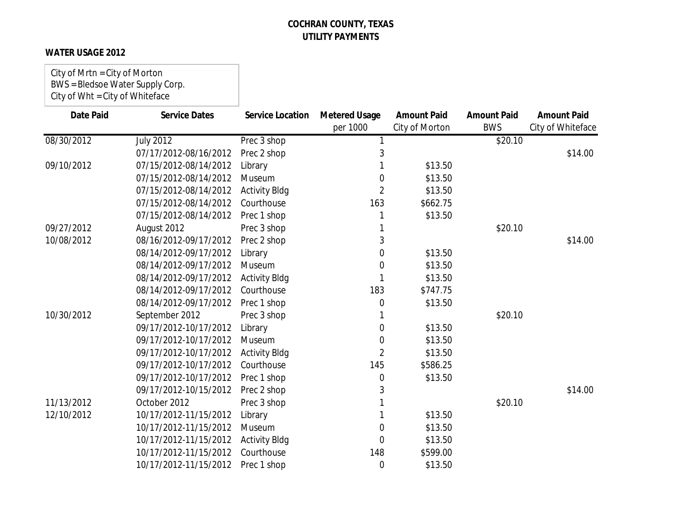### **WATER USAGE 2012**

City of Mrtn = City of Morton BWS = Bledsoe Water Supply Corp. City of Wht = City of Whiteface

| <b>Date Paid</b> | <b>Service Dates</b>  | <b>Service Location</b> | <b>Metered Usage</b><br>per 1000 | <b>Amount Paid</b><br>City of Morton | <b>Amount Paid</b><br><b>BWS</b> | <b>Amount Paid</b><br>City of Whiteface |
|------------------|-----------------------|-------------------------|----------------------------------|--------------------------------------|----------------------------------|-----------------------------------------|
| 08/30/2012       | <b>July 2012</b>      | Prec 3 shop             |                                  |                                      | \$20.10                          |                                         |
|                  | 07/17/2012-08/16/2012 | Prec 2 shop             | 3                                |                                      |                                  | \$14.00                                 |
| 09/10/2012       | 07/15/2012-08/14/2012 | Library                 |                                  | \$13.50                              |                                  |                                         |
|                  | 07/15/2012-08/14/2012 | Museum                  | 0                                | \$13.50                              |                                  |                                         |
|                  | 07/15/2012-08/14/2012 | <b>Activity Bldg</b>    | 2                                | \$13.50                              |                                  |                                         |
|                  | 07/15/2012-08/14/2012 | Courthouse              | 163                              | \$662.75                             |                                  |                                         |
|                  | 07/15/2012-08/14/2012 | Prec 1 shop             |                                  | \$13.50                              |                                  |                                         |
| 09/27/2012       | August 2012           | Prec 3 shop             |                                  |                                      | \$20.10                          |                                         |
| 10/08/2012       | 08/16/2012-09/17/2012 | Prec 2 shop             | 3                                |                                      |                                  | \$14.00                                 |
|                  | 08/14/2012-09/17/2012 | Library                 | 0                                | \$13.50                              |                                  |                                         |
|                  | 08/14/2012-09/17/2012 | Museum                  | 0                                | \$13.50                              |                                  |                                         |
|                  | 08/14/2012-09/17/2012 | <b>Activity Bldg</b>    |                                  | \$13.50                              |                                  |                                         |
|                  | 08/14/2012-09/17/2012 | Courthouse              | 183                              | \$747.75                             |                                  |                                         |
|                  | 08/14/2012-09/17/2012 | Prec 1 shop             | 0                                | \$13.50                              |                                  |                                         |
| 10/30/2012       | September 2012        | Prec 3 shop             |                                  |                                      | \$20.10                          |                                         |
|                  | 09/17/2012-10/17/2012 | Library                 | 0                                | \$13.50                              |                                  |                                         |
|                  | 09/17/2012-10/17/2012 | Museum                  | 0                                | \$13.50                              |                                  |                                         |
|                  | 09/17/2012-10/17/2012 | <b>Activity Bldg</b>    | 2                                | \$13.50                              |                                  |                                         |
|                  | 09/17/2012-10/17/2012 | Courthouse              | 145                              | \$586.25                             |                                  |                                         |
|                  | 09/17/2012-10/17/2012 | Prec 1 shop             | 0                                | \$13.50                              |                                  |                                         |
|                  | 09/17/2012-10/15/2012 | Prec 2 shop             | 3                                |                                      |                                  | \$14.00                                 |
| 11/13/2012       | October 2012          | Prec 3 shop             |                                  |                                      | \$20.10                          |                                         |
| 12/10/2012       | 10/17/2012-11/15/2012 | Library                 |                                  | \$13.50                              |                                  |                                         |
|                  | 10/17/2012-11/15/2012 | Museum                  | 0                                | \$13.50                              |                                  |                                         |
|                  | 10/17/2012-11/15/2012 | <b>Activity Bldg</b>    | 0                                | \$13.50                              |                                  |                                         |
|                  | 10/17/2012-11/15/2012 | Courthouse              | 148                              | \$599.00                             |                                  |                                         |
|                  | 10/17/2012-11/15/2012 | Prec 1 shop             | 0                                | \$13.50                              |                                  |                                         |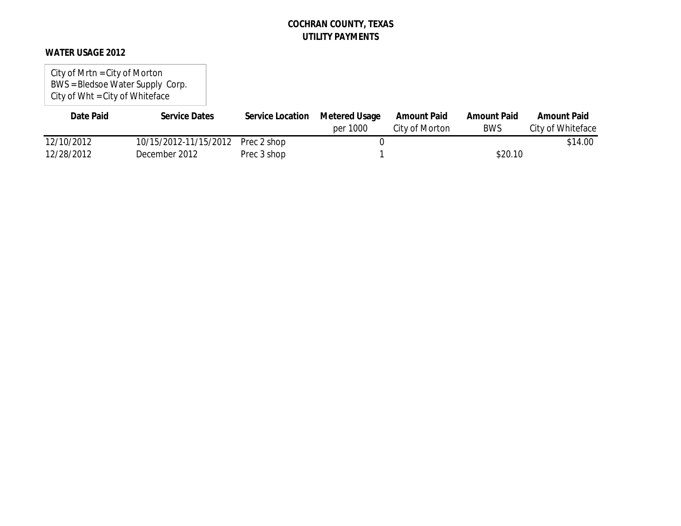### **WATER USAGE 2012**

City of Mrtn = City of Morton BWS = Bledsoe Water Supply Corp. City of Wht = City of Whiteface

| Date Paid  | <b>Service Dates</b>  | Service Location | <b>Metered Usage</b> | <b>Amount Paid</b> | <b>Amount Paid</b> | <b>Amount Paid</b> |
|------------|-----------------------|------------------|----------------------|--------------------|--------------------|--------------------|
|            |                       |                  | per 1000             | City of Morton     | <b>BWS</b>         | City of Whiteface  |
| 12/10/2012 | 10/15/2012-11/15/2012 | Prec 2 shop      |                      |                    |                    | \$14.00            |
| 12/28/2012 | December 2012         | Prec 3 shop      |                      |                    | \$20.10            |                    |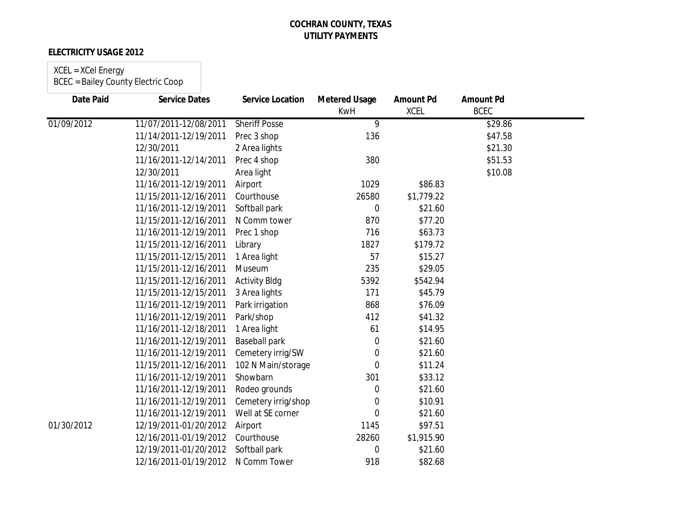### **ELECTRICITY USAGE 2012**

# XCEL = XCel Energy

| <b>Date Paid</b> | <b>Service Dates</b>  | <b>Service Location</b> | <b>Metered Usage</b><br><b>KwH</b> | <b>Amount Pd</b><br><b>XCEL</b> | <b>Amount Pd</b><br><b>BCEC</b> |  |
|------------------|-----------------------|-------------------------|------------------------------------|---------------------------------|---------------------------------|--|
| 01/09/2012       | 11/07/2011-12/08/2011 | <b>Sheriff Posse</b>    | 9                                  |                                 | \$29.86                         |  |
|                  | 11/14/2011-12/19/2011 | Prec 3 shop             | 136                                |                                 | \$47.58                         |  |
|                  | 12/30/2011            | 2 Area lights           |                                    |                                 | \$21.30                         |  |
|                  | 11/16/2011-12/14/2011 | Prec 4 shop             | 380                                |                                 | \$51.53                         |  |
|                  | 12/30/2011            | Area light              |                                    |                                 | \$10.08                         |  |
|                  | 11/16/2011-12/19/2011 | Airport                 | 1029                               | \$86.83                         |                                 |  |
|                  | 11/15/2011-12/16/2011 | Courthouse              | 26580                              | \$1,779.22                      |                                 |  |
|                  | 11/16/2011-12/19/2011 | Softball park           | $\overline{0}$                     | \$21.60                         |                                 |  |
|                  | 11/15/2011-12/16/2011 | N Comm tower            | 870                                | \$77.20                         |                                 |  |
|                  | 11/16/2011-12/19/2011 | Prec 1 shop             | 716                                | \$63.73                         |                                 |  |
|                  | 11/15/2011-12/16/2011 | Library                 | 1827                               | \$179.72                        |                                 |  |
|                  | 11/15/2011-12/15/2011 | 1 Area light            | 57                                 | \$15.27                         |                                 |  |
|                  | 11/15/2011-12/16/2011 | Museum                  | 235                                | \$29.05                         |                                 |  |
|                  | 11/15/2011-12/16/2011 | <b>Activity Bldg</b>    | 5392                               | \$542.94                        |                                 |  |
|                  | 11/15/2011-12/15/2011 | 3 Area lights           | 171                                | \$45.79                         |                                 |  |
|                  | 11/16/2011-12/19/2011 | Park irrigation         | 868                                | \$76.09                         |                                 |  |
|                  | 11/16/2011-12/19/2011 | Park/shop               | 412                                | \$41.32                         |                                 |  |
|                  | 11/16/2011-12/18/2011 | 1 Area light            | 61                                 | \$14.95                         |                                 |  |
|                  | 11/16/2011-12/19/2011 | <b>Baseball park</b>    | 0                                  | \$21.60                         |                                 |  |
|                  | 11/16/2011-12/19/2011 | Cemetery irrig/SW       | 0                                  | \$21.60                         |                                 |  |
|                  | 11/15/2011-12/16/2011 | 102 N Main/storage      | 0                                  | \$11.24                         |                                 |  |
|                  | 11/16/2011-12/19/2011 | Showbarn                | 301                                | \$33.12                         |                                 |  |
|                  | 11/16/2011-12/19/2011 | Rodeo grounds           | 0                                  | \$21.60                         |                                 |  |
|                  | 11/16/2011-12/19/2011 | Cemetery irrig/shop     | 0                                  | \$10.91                         |                                 |  |
|                  | 11/16/2011-12/19/2011 | Well at SE corner       | 0                                  | \$21.60                         |                                 |  |
| 01/30/2012       | 12/19/2011-01/20/2012 | Airport                 | 1145                               | \$97.51                         |                                 |  |
|                  | 12/16/2011-01/19/2012 | Courthouse              | 28260                              | \$1,915.90                      |                                 |  |
|                  | 12/19/2011-01/20/2012 | Softball park           | $\Omega$                           | \$21.60                         |                                 |  |
|                  | 12/16/2011-01/19/2012 | N Comm Tower            | 918                                | \$82.68                         |                                 |  |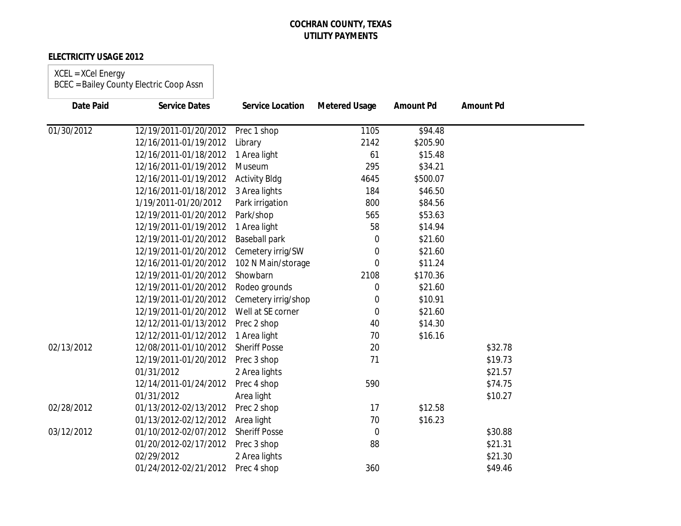### **ELECTRICITY USAGE 2012**

## XCEL = XCel Energy

| Date Paid  | <b>Service Dates</b>  | <b>Service Location</b> | <b>Metered Usage</b> | <b>Amount Pd</b> | <b>Amount Pd</b> |
|------------|-----------------------|-------------------------|----------------------|------------------|------------------|
| 01/30/2012 | 12/19/2011-01/20/2012 | Prec 1 shop             | 1105                 | \$94.48          |                  |
|            | 12/16/2011-01/19/2012 | Library                 | 2142                 | \$205.90         |                  |
|            | 12/16/2011-01/18/2012 | 1 Area light            | 61                   | \$15.48          |                  |
|            | 12/16/2011-01/19/2012 | Museum                  | 295                  | \$34.21          |                  |
|            | 12/16/2011-01/19/2012 | <b>Activity Bldg</b>    | 4645                 | \$500.07         |                  |
|            | 12/16/2011-01/18/2012 | 3 Area lights           | 184                  | \$46.50          |                  |
|            | 1/19/2011-01/20/2012  | Park irrigation         | 800                  | \$84.56          |                  |
|            | 12/19/2011-01/20/2012 | Park/shop               | 565                  | \$53.63          |                  |
|            | 12/19/2011-01/19/2012 | 1 Area light            | 58                   | \$14.94          |                  |
|            | 12/19/2011-01/20/2012 | <b>Baseball park</b>    | 0                    | \$21.60          |                  |
|            | 12/19/2011-01/20/2012 | Cemetery irrig/SW       | 0                    | \$21.60          |                  |
|            | 12/16/2011-01/20/2012 | 102 N Main/storage      | $\overline{0}$       | \$11.24          |                  |
|            | 12/19/2011-01/20/2012 | Showbarn                | 2108                 | \$170.36         |                  |
|            | 12/19/2011-01/20/2012 | Rodeo grounds           | 0                    | \$21.60          |                  |
|            | 12/19/2011-01/20/2012 | Cemetery irrig/shop     | $\boldsymbol{0}$     | \$10.91          |                  |
|            | 12/19/2011-01/20/2012 | Well at SE corner       | $\mathbf 0$          | \$21.60          |                  |
|            | 12/12/2011-01/13/2012 | Prec 2 shop             | 40                   | \$14.30          |                  |
|            | 12/12/2011-01/12/2012 | 1 Area light            | 70                   | \$16.16          |                  |
| 02/13/2012 | 12/08/2011-01/10/2012 | <b>Sheriff Posse</b>    | 20                   |                  | \$32.78          |
|            | 12/19/2011-01/20/2012 | Prec 3 shop             | 71                   |                  | \$19.73          |
|            | 01/31/2012            | 2 Area lights           |                      |                  | \$21.57          |
|            | 12/14/2011-01/24/2012 | Prec 4 shop             | 590                  |                  | \$74.75          |
|            | 01/31/2012            | Area light              |                      |                  | \$10.27          |
| 02/28/2012 | 01/13/2012-02/13/2012 | Prec 2 shop             | 17                   | \$12.58          |                  |
|            | 01/13/2012-02/12/2012 | Area light              | 70                   | \$16.23          |                  |
| 03/12/2012 | 01/10/2012-02/07/2012 | <b>Sheriff Posse</b>    | $\overline{0}$       |                  | \$30.88          |
|            | 01/20/2012-02/17/2012 | Prec 3 shop             | 88                   |                  | \$21.31          |
|            | 02/29/2012            | 2 Area lights           |                      |                  | \$21.30          |
|            | 01/24/2012-02/21/2012 | Prec 4 shop             | 360                  |                  | \$49.46          |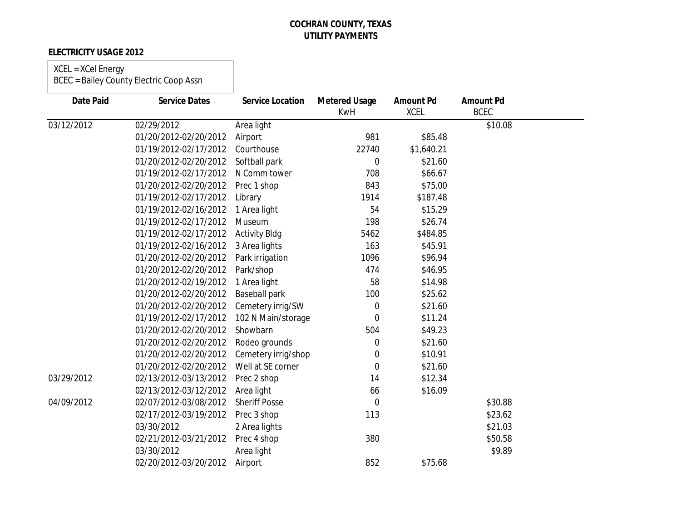### **ELECTRICITY USAGE 2012**

## XCEL = XCel Energy

| <b>Date Paid</b> | <b>Service Dates</b>  | <b>Service Location</b> | <b>Metered Usage</b><br><b>KwH</b> | <b>Amount Pd</b><br><b>XCEL</b> | <b>Amount Pd</b><br><b>BCEC</b> |  |
|------------------|-----------------------|-------------------------|------------------------------------|---------------------------------|---------------------------------|--|
| 03/12/2012       | 02/29/2012            | Area light              |                                    |                                 | \$10.08                         |  |
|                  | 01/20/2012-02/20/2012 | Airport                 | 981                                | \$85.48                         |                                 |  |
|                  | 01/19/2012-02/17/2012 | Courthouse              | 22740                              | \$1,640.21                      |                                 |  |
|                  | 01/20/2012-02/20/2012 | Softball park           | $\Omega$                           | \$21.60                         |                                 |  |
|                  | 01/19/2012-02/17/2012 | N Comm tower            | 708                                | \$66.67                         |                                 |  |
|                  | 01/20/2012-02/20/2012 | Prec 1 shop             | 843                                | \$75.00                         |                                 |  |
|                  | 01/19/2012-02/17/2012 | Library                 | 1914                               | \$187.48                        |                                 |  |
|                  | 01/19/2012-02/16/2012 | 1 Area light            | 54                                 | \$15.29                         |                                 |  |
|                  | 01/19/2012-02/17/2012 | Museum                  | 198                                | \$26.74                         |                                 |  |
|                  | 01/19/2012-02/17/2012 | <b>Activity Bldg</b>    | 5462                               | \$484.85                        |                                 |  |
|                  | 01/19/2012-02/16/2012 | 3 Area lights           | 163                                | \$45.91                         |                                 |  |
|                  | 01/20/2012-02/20/2012 | Park irrigation         | 1096                               | \$96.94                         |                                 |  |
|                  | 01/20/2012-02/20/2012 | Park/shop               | 474                                | \$46.95                         |                                 |  |
|                  | 01/20/2012-02/19/2012 | 1 Area light            | 58                                 | \$14.98                         |                                 |  |
|                  | 01/20/2012-02/20/2012 | <b>Baseball park</b>    | 100                                | \$25.62                         |                                 |  |
|                  | 01/20/2012-02/20/2012 | Cemetery irrig/SW       | 0                                  | \$21.60                         |                                 |  |
|                  | 01/19/2012-02/17/2012 | 102 N Main/storage      | $\Omega$                           | \$11.24                         |                                 |  |
|                  | 01/20/2012-02/20/2012 | Showbarn                | 504                                | \$49.23                         |                                 |  |
|                  | 01/20/2012-02/20/2012 | Rodeo grounds           | 0                                  | \$21.60                         |                                 |  |
|                  | 01/20/2012-02/20/2012 | Cemetery irrig/shop     | 0                                  | \$10.91                         |                                 |  |
|                  | 01/20/2012-02/20/2012 | Well at SE corner       | $\overline{0}$                     | \$21.60                         |                                 |  |
| 03/29/2012       | 02/13/2012-03/13/2012 | Prec 2 shop             | 14                                 | \$12.34                         |                                 |  |
|                  | 02/13/2012-03/12/2012 | Area light              | 66                                 | \$16.09                         |                                 |  |
| 04/09/2012       | 02/07/2012-03/08/2012 | <b>Sheriff Posse</b>    | $\mathbf 0$                        |                                 | \$30.88                         |  |
|                  | 02/17/2012-03/19/2012 | Prec 3 shop             | 113                                |                                 | \$23.62                         |  |
|                  | 03/30/2012            | 2 Area lights           |                                    |                                 | \$21.03                         |  |
|                  | 02/21/2012-03/21/2012 | Prec 4 shop             | 380                                |                                 | \$50.58                         |  |
|                  | 03/30/2012            | Area light              |                                    |                                 | \$9.89                          |  |
|                  | 02/20/2012-03/20/2012 | Airport                 | 852                                | \$75.68                         |                                 |  |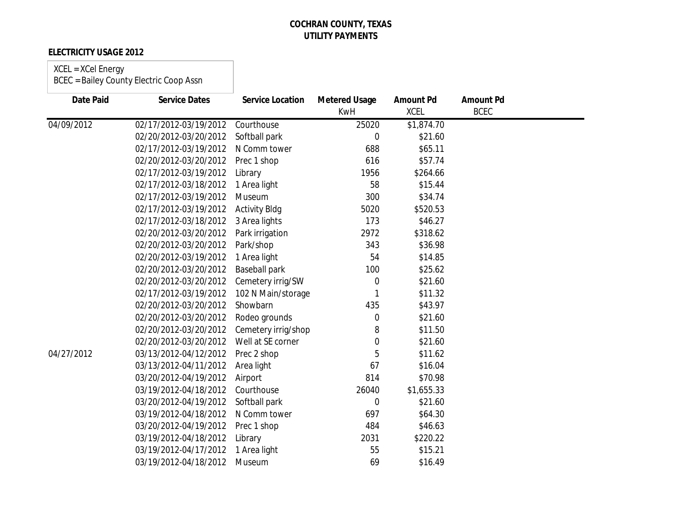### **ELECTRICITY USAGE 2012**

| <b>Date Paid</b> | <b>Service Dates</b>  | <b>Service Location</b> | <b>Metered Usage</b> | <b>Amount Pd</b> | <b>Amount Pd</b> |  |
|------------------|-----------------------|-------------------------|----------------------|------------------|------------------|--|
|                  |                       |                         | <b>KwH</b>           | <b>XCEL</b>      | <b>BCEC</b>      |  |
| 04/09/2012       | 02/17/2012-03/19/2012 | Courthouse              | 25020                | \$1,874.70       |                  |  |
|                  | 02/20/2012-03/20/2012 | Softball park           | $\overline{0}$       | \$21.60          |                  |  |
|                  | 02/17/2012-03/19/2012 | N Comm tower            | 688                  | \$65.11          |                  |  |
|                  | 02/20/2012-03/20/2012 | Prec 1 shop             | 616                  | \$57.74          |                  |  |
|                  | 02/17/2012-03/19/2012 | Library                 | 1956                 | \$264.66         |                  |  |
|                  | 02/17/2012-03/18/2012 | 1 Area light            | 58                   | \$15.44          |                  |  |
|                  | 02/17/2012-03/19/2012 | Museum                  | 300                  | \$34.74          |                  |  |
|                  | 02/17/2012-03/19/2012 | <b>Activity Bldg</b>    | 5020                 | \$520.53         |                  |  |
|                  | 02/17/2012-03/18/2012 | 3 Area lights           | 173                  | \$46.27          |                  |  |
|                  | 02/20/2012-03/20/2012 | Park irrigation         | 2972                 | \$318.62         |                  |  |
|                  | 02/20/2012-03/20/2012 | Park/shop               | 343                  | \$36.98          |                  |  |
|                  | 02/20/2012-03/19/2012 | 1 Area light            | 54                   | \$14.85          |                  |  |
|                  | 02/20/2012-03/20/2012 | <b>Baseball park</b>    | 100                  | \$25.62          |                  |  |
|                  | 02/20/2012-03/20/2012 | Cemetery irrig/SW       | 0                    | \$21.60          |                  |  |
|                  | 02/17/2012-03/19/2012 | 102 N Main/storage      |                      | \$11.32          |                  |  |
|                  | 02/20/2012-03/20/2012 | Showbarn                | 435                  | \$43.97          |                  |  |
|                  | 02/20/2012-03/20/2012 | Rodeo grounds           | 0                    | \$21.60          |                  |  |
|                  | 02/20/2012-03/20/2012 | Cemetery irrig/shop     | 8                    | \$11.50          |                  |  |
|                  | 02/20/2012-03/20/2012 | Well at SE corner       | 0                    | \$21.60          |                  |  |
| 04/27/2012       | 03/13/2012-04/12/2012 | Prec 2 shop             | 5                    | \$11.62          |                  |  |
|                  | 03/13/2012-04/11/2012 | Area light              | 67                   | \$16.04          |                  |  |
|                  | 03/20/2012-04/19/2012 | Airport                 | 814                  | \$70.98          |                  |  |
|                  | 03/19/2012-04/18/2012 | Courthouse              | 26040                | \$1,655.33       |                  |  |
|                  | 03/20/2012-04/19/2012 | Softball park           | 0                    | \$21.60          |                  |  |
|                  | 03/19/2012-04/18/2012 | N Comm tower            | 697                  | \$64.30          |                  |  |
|                  | 03/20/2012-04/19/2012 | Prec 1 shop             | 484                  | \$46.63          |                  |  |
|                  | 03/19/2012-04/18/2012 | Library                 | 2031                 | \$220.22         |                  |  |
|                  | 03/19/2012-04/17/2012 | 1 Area light            | 55                   | \$15.21          |                  |  |
|                  | 03/19/2012-04/18/2012 | Museum                  | 69                   | \$16.49          |                  |  |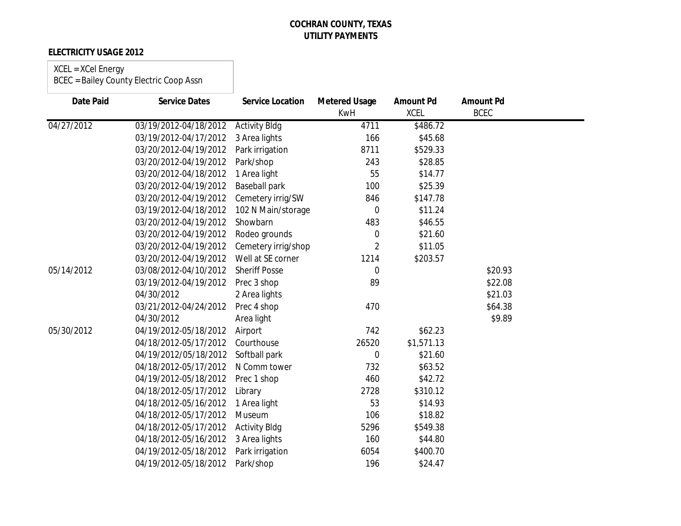### **ELECTRICITY USAGE 2012**

| Date Paid  | <b>Service Dates</b>  | <b>Service Location</b> | <b>Metered Usage</b><br><b>KwH</b> | <b>Amount Pd</b><br><b>XCEL</b> | <b>Amount Pd</b><br><b>BCEC</b> |  |
|------------|-----------------------|-------------------------|------------------------------------|---------------------------------|---------------------------------|--|
| 04/27/2012 | 03/19/2012-04/18/2012 | <b>Activity Bldg</b>    | 4711                               | \$486.72                        |                                 |  |
|            | 03/19/2012-04/17/2012 | 3 Area lights           | 166                                | \$45.68                         |                                 |  |
|            | 03/20/2012-04/19/2012 | Park irrigation         | 8711                               | \$529.33                        |                                 |  |
|            | 03/20/2012-04/19/2012 | Park/shop               | 243                                | \$28.85                         |                                 |  |
|            | 03/20/2012-04/18/2012 | 1 Area light            | 55                                 | \$14.77                         |                                 |  |
|            | 03/20/2012-04/19/2012 | <b>Baseball park</b>    | 100                                | \$25.39                         |                                 |  |
|            | 03/20/2012-04/19/2012 | Cemetery irrig/SW       | 846                                | \$147.78                        |                                 |  |
|            | 03/19/2012-04/18/2012 | 102 N Main/storage      | $\overline{0}$                     | \$11.24                         |                                 |  |
|            | 03/20/2012-04/19/2012 | Showbarn                | 483                                | \$46.55                         |                                 |  |
|            | 03/20/2012-04/19/2012 | Rodeo grounds           | 0                                  | \$21.60                         |                                 |  |
|            | 03/20/2012-04/19/2012 | Cemetery irrig/shop     | $\overline{2}$                     | \$11.05                         |                                 |  |
|            | 03/20/2012-04/19/2012 | Well at SE corner       | 1214                               | \$203.57                        |                                 |  |
| 05/14/2012 | 03/08/2012-04/10/2012 | <b>Sheriff Posse</b>    | $\Omega$                           |                                 | \$20.93                         |  |
|            | 03/19/2012-04/19/2012 | Prec 3 shop             | 89                                 |                                 | \$22.08                         |  |
|            | 04/30/2012            | 2 Area lights           |                                    |                                 | \$21.03                         |  |
|            | 03/21/2012-04/24/2012 | Prec 4 shop             | 470                                |                                 | \$64.38                         |  |
|            | 04/30/2012            | Area light              |                                    |                                 | \$9.89                          |  |
| 05/30/2012 | 04/19/2012-05/18/2012 | Airport                 | 742                                | \$62.23                         |                                 |  |
|            | 04/18/2012-05/17/2012 | Courthouse              | 26520                              | \$1,571.13                      |                                 |  |
|            | 04/19/2012/05/18/2012 | Softball park           | 0                                  | \$21.60                         |                                 |  |
|            | 04/18/2012-05/17/2012 | N Comm tower            | 732                                | \$63.52                         |                                 |  |
|            | 04/19/2012-05/18/2012 | Prec 1 shop             | 460                                | \$42.72                         |                                 |  |
|            | 04/18/2012-05/17/2012 | Library                 | 2728                               | \$310.12                        |                                 |  |
|            | 04/18/2012-05/16/2012 | 1 Area light            | 53                                 | \$14.93                         |                                 |  |
|            | 04/18/2012-05/17/2012 | Museum                  | 106                                | \$18.82                         |                                 |  |
|            | 04/18/2012-05/17/2012 | <b>Activity Bldg</b>    | 5296                               | \$549.38                        |                                 |  |
|            | 04/18/2012-05/16/2012 | 3 Area lights           | 160                                | \$44.80                         |                                 |  |
|            | 04/19/2012-05/18/2012 | Park irrigation         | 6054                               | \$400.70                        |                                 |  |
|            | 04/19/2012-05/18/2012 | Park/shop               | 196                                | \$24.47                         |                                 |  |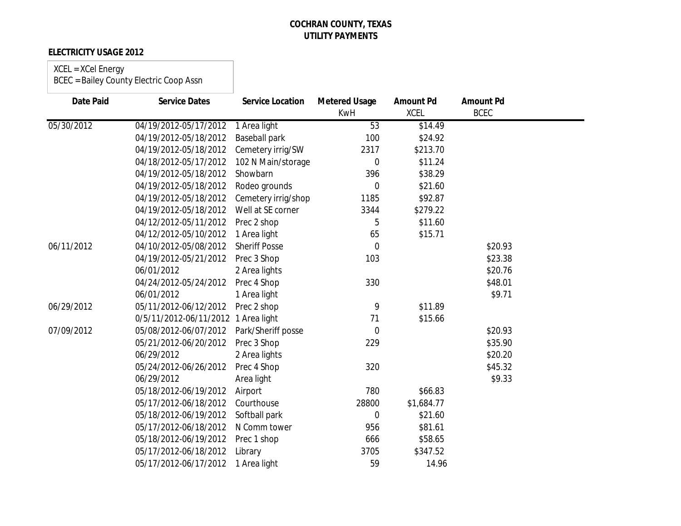### **ELECTRICITY USAGE 2012**

| <b>Date Paid</b> | <b>Service Dates</b>                | <b>Service Location</b> | <b>Metered Usage</b><br><b>KwH</b> | <b>Amount Pd</b><br><b>XCEL</b> | <b>Amount Pd</b><br><b>BCEC</b> |  |
|------------------|-------------------------------------|-------------------------|------------------------------------|---------------------------------|---------------------------------|--|
| 05/30/2012       | 04/19/2012-05/17/2012               | 1 Area light            | 53                                 | \$14.49                         |                                 |  |
|                  | 04/19/2012-05/18/2012               | <b>Baseball park</b>    | 100                                | \$24.92                         |                                 |  |
|                  | 04/19/2012-05/18/2012               | Cemetery irrig/SW       | 2317                               | \$213.70                        |                                 |  |
|                  | 04/18/2012-05/17/2012               | 102 N Main/storage      | $\mathbf 0$                        | \$11.24                         |                                 |  |
|                  | 04/19/2012-05/18/2012               | Showbarn                | 396                                | \$38.29                         |                                 |  |
|                  | 04/19/2012-05/18/2012               | Rodeo grounds           | $\mathbf 0$                        | \$21.60                         |                                 |  |
|                  | 04/19/2012-05/18/2012               | Cemetery irrig/shop     | 1185                               | \$92.87                         |                                 |  |
|                  | 04/19/2012-05/18/2012               | Well at SE corner       | 3344                               | \$279.22                        |                                 |  |
|                  | 04/12/2012-05/11/2012               | Prec 2 shop             | 5                                  | \$11.60                         |                                 |  |
|                  | 04/12/2012-05/10/2012               | 1 Area light            | 65                                 | \$15.71                         |                                 |  |
| 06/11/2012       | 04/10/2012-05/08/2012               | <b>Sheriff Posse</b>    | $\overline{0}$                     |                                 | \$20.93                         |  |
|                  | 04/19/2012-05/21/2012               | Prec 3 Shop             | 103                                |                                 | \$23.38                         |  |
|                  | 06/01/2012                          | 2 Area lights           |                                    |                                 | \$20.76                         |  |
|                  | 04/24/2012-05/24/2012               | Prec 4 Shop             | 330                                |                                 | \$48.01                         |  |
|                  | 06/01/2012                          | 1 Area light            |                                    |                                 | \$9.71                          |  |
| 06/29/2012       | 05/11/2012-06/12/2012               | Prec 2 shop             | 9                                  | \$11.89                         |                                 |  |
|                  | 0/5/11/2012-06/11/2012 1 Area light |                         | 71                                 | \$15.66                         |                                 |  |
| 07/09/2012       | 05/08/2012-06/07/2012               | Park/Sheriff posse      | $\overline{0}$                     |                                 | \$20.93                         |  |
|                  | 05/21/2012-06/20/2012               | Prec 3 Shop             | 229                                |                                 | \$35.90                         |  |
|                  | 06/29/2012                          | 2 Area lights           |                                    |                                 | \$20.20                         |  |
|                  | 05/24/2012-06/26/2012               | Prec 4 Shop             | 320                                |                                 | \$45.32                         |  |
|                  | 06/29/2012                          | Area light              |                                    |                                 | \$9.33                          |  |
|                  | 05/18/2012-06/19/2012               | Airport                 | 780                                | \$66.83                         |                                 |  |
|                  | 05/17/2012-06/18/2012               | Courthouse              | 28800                              | \$1,684.77                      |                                 |  |
|                  | 05/18/2012-06/19/2012               | Softball park           | $\mathbf 0$                        | \$21.60                         |                                 |  |
|                  | 05/17/2012-06/18/2012               | N Comm tower            | 956                                | \$81.61                         |                                 |  |
|                  | 05/18/2012-06/19/2012               | Prec 1 shop             | 666                                | \$58.65                         |                                 |  |
|                  | 05/17/2012-06/18/2012               | Library                 | 3705                               | \$347.52                        |                                 |  |
|                  | 05/17/2012-06/17/2012               | 1 Area light            | 59                                 | 14.96                           |                                 |  |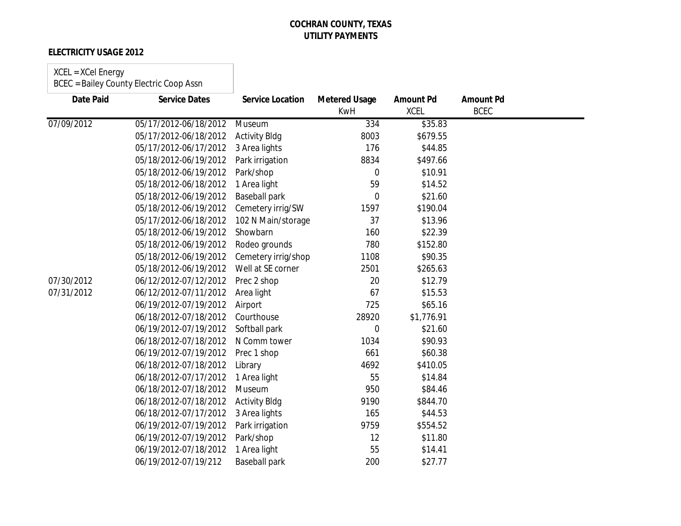### **ELECTRICITY USAGE 2012**

#### XCEL = XCel Energy

| Date Paid  | <b>Service Dates</b>  | <b>Service Location</b> | <b>Metered Usage</b><br><b>KwH</b> | <b>Amount Pd</b><br><b>XCEL</b> | <b>Amount Pd</b><br><b>BCEC</b> |  |
|------------|-----------------------|-------------------------|------------------------------------|---------------------------------|---------------------------------|--|
| 07/09/2012 | 05/17/2012-06/18/2012 | Museum                  | 334                                | \$35.83                         |                                 |  |
|            | 05/17/2012-06/18/2012 | <b>Activity Bldg</b>    | 8003                               | \$679.55                        |                                 |  |
|            | 05/17/2012-06/17/2012 | 3 Area lights           | 176                                | \$44.85                         |                                 |  |
|            | 05/18/2012-06/19/2012 | Park irrigation         | 8834                               | \$497.66                        |                                 |  |
|            | 05/18/2012-06/19/2012 | Park/shop               | $\mathbf 0$                        | \$10.91                         |                                 |  |
|            | 05/18/2012-06/18/2012 | 1 Area light            | 59                                 | \$14.52                         |                                 |  |
|            | 05/18/2012-06/19/2012 | <b>Baseball park</b>    | 0                                  | \$21.60                         |                                 |  |
|            | 05/18/2012-06/19/2012 | Cemetery irrig/SW       | 1597                               | \$190.04                        |                                 |  |
|            | 05/17/2012-06/18/2012 | 102 N Main/storage      | 37                                 | \$13.96                         |                                 |  |
|            | 05/18/2012-06/19/2012 | Showbarn                | 160                                | \$22.39                         |                                 |  |
|            | 05/18/2012-06/19/2012 | Rodeo grounds           | 780                                | \$152.80                        |                                 |  |
|            | 05/18/2012-06/19/2012 | Cemetery irrig/shop     | 1108                               | \$90.35                         |                                 |  |
|            | 05/18/2012-06/19/2012 | Well at SE corner       | 2501                               | \$265.63                        |                                 |  |
| 07/30/2012 | 06/12/2012-07/12/2012 | Prec 2 shop             | 20                                 | \$12.79                         |                                 |  |
| 07/31/2012 | 06/12/2012-07/11/2012 | Area light              | 67                                 | \$15.53                         |                                 |  |
|            | 06/19/2012-07/19/2012 | Airport                 | 725                                | \$65.16                         |                                 |  |
|            | 06/18/2012-07/18/2012 | Courthouse              | 28920                              | \$1,776.91                      |                                 |  |
|            | 06/19/2012-07/19/2012 | Softball park           | 0                                  | \$21.60                         |                                 |  |
|            | 06/18/2012-07/18/2012 | N Comm tower            | 1034                               | \$90.93                         |                                 |  |
|            | 06/19/2012-07/19/2012 | Prec 1 shop             | 661                                | \$60.38                         |                                 |  |
|            | 06/18/2012-07/18/2012 | Library                 | 4692                               | \$410.05                        |                                 |  |
|            | 06/18/2012-07/17/2012 | 1 Area light            | 55                                 | \$14.84                         |                                 |  |
|            | 06/18/2012-07/18/2012 | Museum                  | 950                                | \$84.46                         |                                 |  |
|            | 06/18/2012-07/18/2012 | <b>Activity Bldg</b>    | 9190                               | \$844.70                        |                                 |  |
|            | 06/18/2012-07/17/2012 | 3 Area lights           | 165                                | \$44.53                         |                                 |  |
|            | 06/19/2012-07/19/2012 | Park irrigation         | 9759                               | \$554.52                        |                                 |  |
|            | 06/19/2012-07/19/2012 | Park/shop               | 12                                 | \$11.80                         |                                 |  |
|            | 06/19/2012-07/18/2012 | 1 Area light            | 55                                 | \$14.41                         |                                 |  |
|            | 06/19/2012-07/19/212  | <b>Baseball park</b>    | 200                                | \$27.77                         |                                 |  |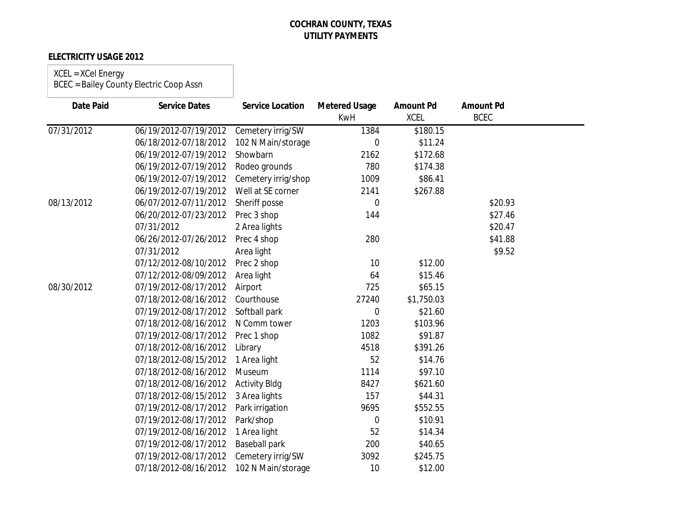### **ELECTRICITY USAGE 2012**

#### XCEL = XCel Energy

| <b>Date Paid</b> | <b>Service Dates</b>  | <b>Service Location</b> | <b>Metered Usage</b><br><b>KwH</b> | <b>Amount Pd</b><br><b>XCEL</b> | <b>Amount Pd</b><br><b>BCEC</b> |  |
|------------------|-----------------------|-------------------------|------------------------------------|---------------------------------|---------------------------------|--|
| 07/31/2012       | 06/19/2012-07/19/2012 | Cemetery irrig/SW       | 1384                               | \$180.15                        |                                 |  |
|                  | 06/18/2012-07/18/2012 | 102 N Main/storage      | 0                                  | \$11.24                         |                                 |  |
|                  | 06/19/2012-07/19/2012 | Showbarn                | 2162                               | \$172.68                        |                                 |  |
|                  | 06/19/2012-07/19/2012 | Rodeo grounds           | 780                                | \$174.38                        |                                 |  |
|                  | 06/19/2012-07/19/2012 | Cemetery irrig/shop     | 1009                               | \$86.41                         |                                 |  |
|                  | 06/19/2012-07/19/2012 | Well at SE corner       | 2141                               | \$267.88                        |                                 |  |
| 08/13/2012       | 06/07/2012-07/11/2012 | Sheriff posse           | $\overline{0}$                     |                                 | \$20.93                         |  |
|                  | 06/20/2012-07/23/2012 | Prec 3 shop             | 144                                |                                 | \$27.46                         |  |
|                  | 07/31/2012            | 2 Area lights           |                                    |                                 | \$20.47                         |  |
|                  | 06/26/2012-07/26/2012 | Prec 4 shop             | 280                                |                                 | \$41.88                         |  |
|                  | 07/31/2012            | Area light              |                                    |                                 | \$9.52                          |  |
|                  | 07/12/2012-08/10/2012 | Prec 2 shop             | 10                                 | \$12.00                         |                                 |  |
|                  | 07/12/2012-08/09/2012 | Area light              | 64                                 | \$15.46                         |                                 |  |
| 08/30/2012       | 07/19/2012-08/17/2012 | Airport                 | 725                                | \$65.15                         |                                 |  |
|                  | 07/18/2012-08/16/2012 | Courthouse              | 27240                              | \$1,750.03                      |                                 |  |
|                  | 07/19/2012-08/17/2012 | Softball park           | 0                                  | \$21.60                         |                                 |  |
|                  | 07/18/2012-08/16/2012 | N Comm tower            | 1203                               | \$103.96                        |                                 |  |
|                  | 07/19/2012-08/17/2012 | Prec 1 shop             | 1082                               | \$91.87                         |                                 |  |
|                  | 07/18/2012-08/16/2012 | Library                 | 4518                               | \$391.26                        |                                 |  |
|                  | 07/18/2012-08/15/2012 | 1 Area light            | 52                                 | \$14.76                         |                                 |  |
|                  | 07/18/2012-08/16/2012 | Museum                  | 1114                               | \$97.10                         |                                 |  |
|                  | 07/18/2012-08/16/2012 | <b>Activity Bldg</b>    | 8427                               | \$621.60                        |                                 |  |
|                  | 07/18/2012-08/15/2012 | 3 Area lights           | 157                                | \$44.31                         |                                 |  |
|                  | 07/19/2012-08/17/2012 | Park irrigation         | 9695                               | \$552.55                        |                                 |  |
|                  | 07/19/2012-08/17/2012 | Park/shop               | 0                                  | \$10.91                         |                                 |  |
|                  | 07/19/2012-08/16/2012 | 1 Area light            | 52                                 | \$14.34                         |                                 |  |
|                  | 07/19/2012-08/17/2012 | <b>Baseball park</b>    | 200                                | \$40.65                         |                                 |  |
|                  | 07/19/2012-08/17/2012 | Cemetery irrig/SW       | 3092                               | \$245.75                        |                                 |  |
|                  | 07/18/2012-08/16/2012 | 102 N Main/storage      | 10                                 | \$12.00                         |                                 |  |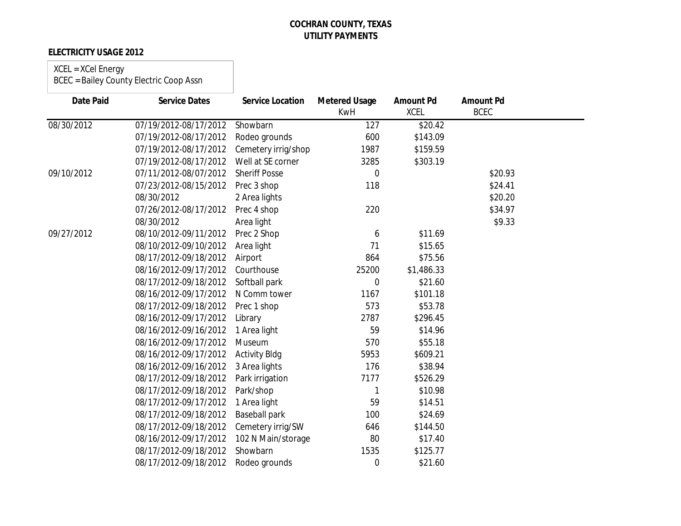### **ELECTRICITY USAGE 2012**

## XCEL = XCel Energy

| <b>Date Paid</b> | <b>Service Dates</b>  | <b>Service Location</b> | <b>Metered Usage</b><br><b>KwH</b> | <b>Amount Pd</b><br><b>XCEL</b> | <b>Amount Pd</b><br><b>BCEC</b> |  |
|------------------|-----------------------|-------------------------|------------------------------------|---------------------------------|---------------------------------|--|
| 08/30/2012       | 07/19/2012-08/17/2012 | Showbarn                | $\overline{127}$                   | \$20.42                         |                                 |  |
|                  | 07/19/2012-08/17/2012 | Rodeo grounds           | 600                                | \$143.09                        |                                 |  |
|                  | 07/19/2012-08/17/2012 | Cemetery irrig/shop     | 1987                               | \$159.59                        |                                 |  |
|                  | 07/19/2012-08/17/2012 | Well at SE corner       | 3285                               | \$303.19                        |                                 |  |
| 09/10/2012       | 07/11/2012-08/07/2012 | <b>Sheriff Posse</b>    | $\mathbf 0$                        |                                 | \$20.93                         |  |
|                  | 07/23/2012-08/15/2012 | Prec 3 shop             | 118                                |                                 | \$24.41                         |  |
|                  | 08/30/2012            | 2 Area lights           |                                    |                                 | \$20.20                         |  |
|                  | 07/26/2012-08/17/2012 | Prec 4 shop             | 220                                |                                 | \$34.97                         |  |
|                  | 08/30/2012            | Area light              |                                    |                                 | \$9.33                          |  |
| 09/27/2012       | 08/10/2012-09/11/2012 | Prec 2 Shop             | 6                                  | \$11.69                         |                                 |  |
|                  | 08/10/2012-09/10/2012 | Area light              | 71                                 | \$15.65                         |                                 |  |
|                  | 08/17/2012-09/18/2012 | Airport                 | 864                                | \$75.56                         |                                 |  |
|                  | 08/16/2012-09/17/2012 | Courthouse              | 25200                              | \$1,486.33                      |                                 |  |
|                  | 08/17/2012-09/18/2012 | Softball park           | 0                                  | \$21.60                         |                                 |  |
|                  | 08/16/2012-09/17/2012 | N Comm tower            | 1167                               | \$101.18                        |                                 |  |
|                  | 08/17/2012-09/18/2012 | Prec 1 shop             | 573                                | \$53.78                         |                                 |  |
|                  | 08/16/2012-09/17/2012 | Library                 | 2787                               | \$296.45                        |                                 |  |
|                  | 08/16/2012-09/16/2012 | 1 Area light            | 59                                 | \$14.96                         |                                 |  |
|                  | 08/16/2012-09/17/2012 | Museum                  | 570                                | \$55.18                         |                                 |  |
|                  | 08/16/2012-09/17/2012 | <b>Activity Bldg</b>    | 5953                               | \$609.21                        |                                 |  |
|                  | 08/16/2012-09/16/2012 | 3 Area lights           | 176                                | \$38.94                         |                                 |  |
|                  | 08/17/2012-09/18/2012 | Park irrigation         | 7177                               | \$526.29                        |                                 |  |
|                  | 08/17/2012-09/18/2012 | Park/shop               |                                    | \$10.98                         |                                 |  |
|                  | 08/17/2012-09/17/2012 | 1 Area light            | 59                                 | \$14.51                         |                                 |  |
|                  | 08/17/2012-09/18/2012 | <b>Baseball park</b>    | 100                                | \$24.69                         |                                 |  |
|                  | 08/17/2012-09/18/2012 | Cemetery irrig/SW       | 646                                | \$144.50                        |                                 |  |
|                  | 08/16/2012-09/17/2012 | 102 N Main/storage      | 80                                 | \$17.40                         |                                 |  |
|                  | 08/17/2012-09/18/2012 | Showbarn                | 1535                               | \$125.77                        |                                 |  |
|                  | 08/17/2012-09/18/2012 | Rodeo grounds           | 0                                  | \$21.60                         |                                 |  |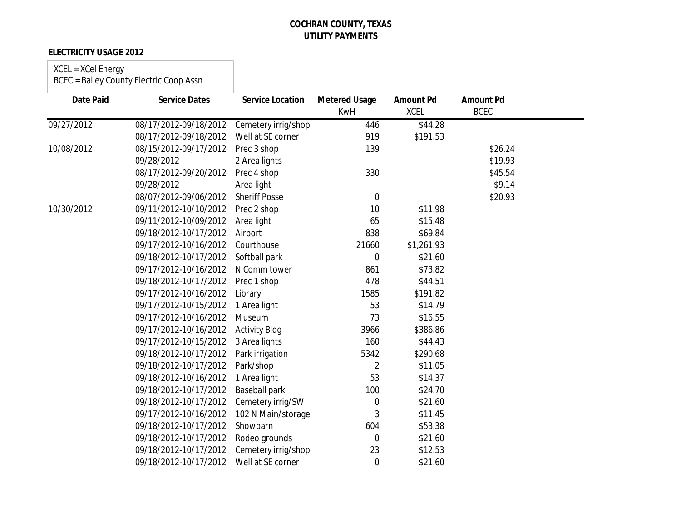### **ELECTRICITY USAGE 2012**

### XCEL = XCel Energy

| <b>Date Paid</b> | <b>Service Dates</b>  | <b>Service Location</b> | <b>Metered Usage</b><br><b>KwH</b> | <b>Amount Pd</b><br><b>XCEL</b> | <b>Amount Pd</b><br><b>BCEC</b> |  |
|------------------|-----------------------|-------------------------|------------------------------------|---------------------------------|---------------------------------|--|
| 09/27/2012       | 08/17/2012-09/18/2012 | Cemetery irrig/shop     | 446                                | \$44.28                         |                                 |  |
|                  | 08/17/2012-09/18/2012 | Well at SE corner       | 919                                | \$191.53                        |                                 |  |
| 10/08/2012       | 08/15/2012-09/17/2012 | Prec 3 shop             | 139                                |                                 | \$26.24                         |  |
|                  | 09/28/2012            | 2 Area lights           |                                    |                                 | \$19.93                         |  |
|                  | 08/17/2012-09/20/2012 | Prec 4 shop             | 330                                |                                 | \$45.54                         |  |
|                  | 09/28/2012            | Area light              |                                    |                                 | \$9.14                          |  |
|                  | 08/07/2012-09/06/2012 | <b>Sheriff Posse</b>    | $\mathbf 0$                        |                                 | \$20.93                         |  |
| 10/30/2012       | 09/11/2012-10/10/2012 | Prec 2 shop             | 10                                 | \$11.98                         |                                 |  |
|                  | 09/11/2012-10/09/2012 | Area light              | 65                                 | \$15.48                         |                                 |  |
|                  | 09/18/2012-10/17/2012 | Airport                 | 838                                | \$69.84                         |                                 |  |
|                  | 09/17/2012-10/16/2012 | Courthouse              | 21660                              | \$1,261.93                      |                                 |  |
|                  | 09/18/2012-10/17/2012 | Softball park           | $\boldsymbol{0}$                   | \$21.60                         |                                 |  |
|                  | 09/17/2012-10/16/2012 | N Comm tower            | 861                                | \$73.82                         |                                 |  |
|                  | 09/18/2012-10/17/2012 | Prec 1 shop             | 478                                | \$44.51                         |                                 |  |
|                  | 09/17/2012-10/16/2012 | Library                 | 1585                               | \$191.82                        |                                 |  |
|                  | 09/17/2012-10/15/2012 | 1 Area light            | 53                                 | \$14.79                         |                                 |  |
|                  | 09/17/2012-10/16/2012 | Museum                  | 73                                 | \$16.55                         |                                 |  |
|                  | 09/17/2012-10/16/2012 | <b>Activity Bldg</b>    | 3966                               | \$386.86                        |                                 |  |
|                  | 09/17/2012-10/15/2012 | 3 Area lights           | 160                                | \$44.43                         |                                 |  |
|                  | 09/18/2012-10/17/2012 | Park irrigation         | 5342                               | \$290.68                        |                                 |  |
|                  | 09/18/2012-10/17/2012 | Park/shop               | 2                                  | \$11.05                         |                                 |  |
|                  | 09/18/2012-10/16/2012 | 1 Area light            | 53                                 | \$14.37                         |                                 |  |
|                  | 09/18/2012-10/17/2012 | Baseball park           | 100                                | \$24.70                         |                                 |  |
|                  | 09/18/2012-10/17/2012 | Cemetery irrig/SW       | 0                                  | \$21.60                         |                                 |  |
|                  | 09/17/2012-10/16/2012 | 102 N Main/storage      | 3                                  | \$11.45                         |                                 |  |
|                  | 09/18/2012-10/17/2012 | Showbarn                | 604                                | \$53.38                         |                                 |  |
|                  | 09/18/2012-10/17/2012 | Rodeo grounds           | $\boldsymbol{0}$                   | \$21.60                         |                                 |  |
|                  | 09/18/2012-10/17/2012 | Cemetery irrig/shop     | 23                                 | \$12.53                         |                                 |  |
|                  | 09/18/2012-10/17/2012 | Well at SE corner       | $\mathbf 0$                        | \$21.60                         |                                 |  |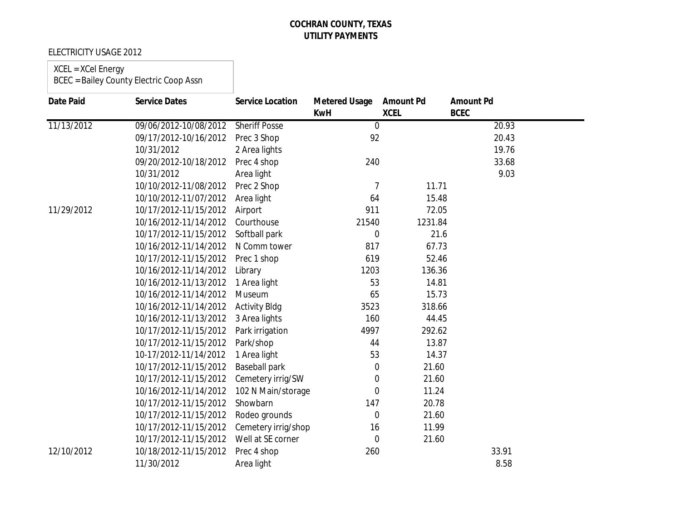### ELECTRICITY USAGE 2012

## XCEL = XCel Energy

| <b>Date Paid</b> | <b>Service Dates</b>  | <b>Service Location</b> | <b>Metered Usage</b> | <b>Amount Pd</b> | <b>Amount Pd</b> |  |
|------------------|-----------------------|-------------------------|----------------------|------------------|------------------|--|
|                  |                       |                         | <b>KwH</b>           | <b>XCEL</b>      | <b>BCEC</b>      |  |
| 11/13/2012       | 09/06/2012-10/08/2012 | <b>Sheriff Posse</b>    | $\mathbf 0$          |                  | 20.93            |  |
|                  | 09/17/2012-10/16/2012 | Prec 3 Shop             | 92                   |                  | 20.43            |  |
|                  | 10/31/2012            | 2 Area lights           |                      |                  | 19.76            |  |
|                  | 09/20/2012-10/18/2012 | Prec 4 shop             | 240                  |                  | 33.68            |  |
|                  | 10/31/2012            | Area light              |                      |                  | 9.03             |  |
|                  | 10/10/2012-11/08/2012 | Prec 2 Shop             | 7                    | 11.71            |                  |  |
|                  | 10/10/2012-11/07/2012 | Area light              | 64                   | 15.48            |                  |  |
| 11/29/2012       | 10/17/2012-11/15/2012 | Airport                 | 911                  | 72.05            |                  |  |
|                  | 10/16/2012-11/14/2012 | Courthouse              | 21540                | 1231.84          |                  |  |
|                  | 10/17/2012-11/15/2012 | Softball park           | 0                    | 21.6             |                  |  |
|                  | 10/16/2012-11/14/2012 | N Comm tower            | 817                  | 67.73            |                  |  |
|                  | 10/17/2012-11/15/2012 | Prec 1 shop             | 619                  | 52.46            |                  |  |
|                  | 10/16/2012-11/14/2012 | Library                 | 1203                 | 136.36           |                  |  |
|                  | 10/16/2012-11/13/2012 | 1 Area light            | 53                   | 14.81            |                  |  |
|                  | 10/16/2012-11/14/2012 | Museum                  | 65                   | 15.73            |                  |  |
|                  | 10/16/2012-11/14/2012 | <b>Activity Bldg</b>    | 3523                 | 318.66           |                  |  |
|                  | 10/16/2012-11/13/2012 | 3 Area lights           | 160                  | 44.45            |                  |  |
|                  | 10/17/2012-11/15/2012 | Park irrigation         | 4997                 | 292.62           |                  |  |
|                  | 10/17/2012-11/15/2012 | Park/shop               | 44                   | 13.87            |                  |  |
|                  | 10-17/2012-11/14/2012 | 1 Area light            | 53                   | 14.37            |                  |  |
|                  | 10/17/2012-11/15/2012 | <b>Baseball park</b>    | $\mathbf 0$          | 21.60            |                  |  |
|                  | 10/17/2012-11/15/2012 | Cemetery irrig/SW       | $\mathbf 0$          | 21.60            |                  |  |
|                  | 10/16/2012-11/14/2012 | 102 N Main/storage      | $\mathbf 0$          | 11.24            |                  |  |
|                  | 10/17/2012-11/15/2012 | Showbarn                | 147                  | 20.78            |                  |  |
|                  | 10/17/2012-11/15/2012 | Rodeo grounds           | $\mathbf 0$          | 21.60            |                  |  |
|                  | 10/17/2012-11/15/2012 | Cemetery irrig/shop     | 16                   | 11.99            |                  |  |
|                  | 10/17/2012-11/15/2012 | Well at SE corner       | 0                    | 21.60            |                  |  |
| 12/10/2012       | 10/18/2012-11/15/2012 | Prec 4 shop             | 260                  |                  | 33.91            |  |
|                  | 11/30/2012            | Area light              |                      |                  | 8.58             |  |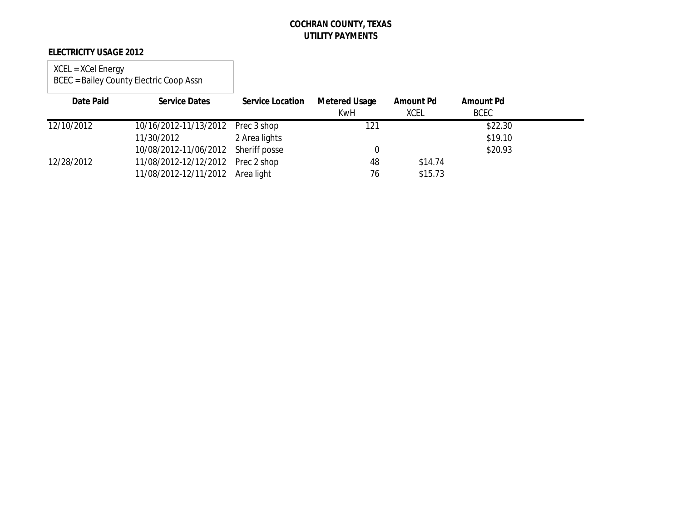### **ELECTRICITY USAGE 2012**

| Date Paid  | <b>Service Dates</b>                | <b>Service Location</b> | <b>Metered Usage</b><br>KwH | Amount Pd<br>XCEL | <b>Amount Pd</b><br><b>BCEC</b> |  |
|------------|-------------------------------------|-------------------------|-----------------------------|-------------------|---------------------------------|--|
| 12/10/2012 | 10/16/2012-11/13/2012 Prec 3 shop   |                         | 121                         |                   | \$22.30                         |  |
|            | 11/30/2012                          | 2 Area lights           |                             |                   | \$19.10                         |  |
|            | 10/08/2012-11/06/2012 Sheriff posse |                         |                             |                   | \$20.93                         |  |
| 12/28/2012 | 11/08/2012-12/12/2012 Prec 2 shop   |                         | 48                          | \$14.74           |                                 |  |
|            | 11/08/2012-12/11/2012 Area light    |                         | 76                          | \$15.73           |                                 |  |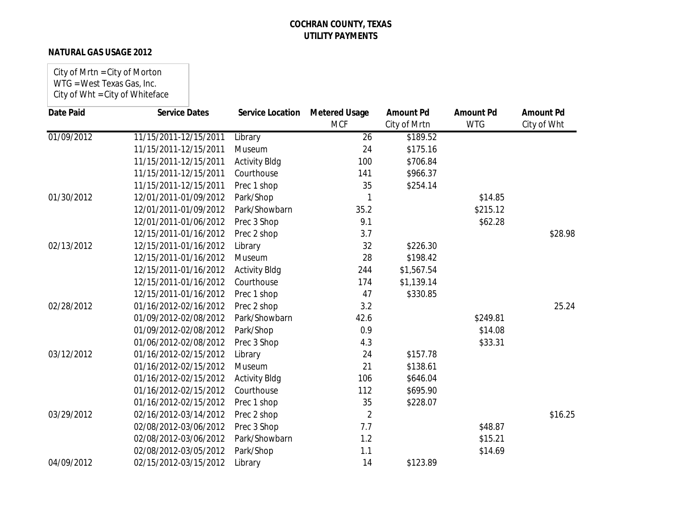### **NATURAL GAS USAGE 2012**

City of Mrtn = City of Morton WTG = West Texas Gas, Inc. City of Wht = City of Whiteface

| <b>Date Paid</b> | <b>Service Dates</b>  | <b>Service Location</b> | <b>Metered Usage</b><br><b>MCF</b> | <b>Amount Pd</b><br>City of Mrtn | <b>Amount Pd</b><br><b>WTG</b> | <b>Amount Pd</b><br>City of Wht |
|------------------|-----------------------|-------------------------|------------------------------------|----------------------------------|--------------------------------|---------------------------------|
| 01/09/2012       | 11/15/2011-12/15/2011 | Library                 | 26                                 | \$189.52                         |                                |                                 |
|                  | 11/15/2011-12/15/2011 | Museum                  | 24                                 | \$175.16                         |                                |                                 |
|                  | 11/15/2011-12/15/2011 | <b>Activity Bldg</b>    | 100                                | \$706.84                         |                                |                                 |
|                  | 11/15/2011-12/15/2011 | Courthouse              | 141                                | \$966.37                         |                                |                                 |
|                  | 11/15/2011-12/15/2011 | Prec 1 shop             | 35                                 | \$254.14                         |                                |                                 |
| 01/30/2012       | 12/01/2011-01/09/2012 | Park/Shop               |                                    |                                  | \$14.85                        |                                 |
|                  | 12/01/2011-01/09/2012 | Park/Showbarn           | 35.2                               |                                  | \$215.12                       |                                 |
|                  | 12/01/2011-01/06/2012 | Prec 3 Shop             | 9.1                                |                                  | \$62.28                        |                                 |
|                  | 12/15/2011-01/16/2012 | Prec 2 shop             | 3.7                                |                                  |                                | \$28.98                         |
| 02/13/2012       | 12/15/2011-01/16/2012 | Library                 | 32                                 | \$226.30                         |                                |                                 |
|                  | 12/15/2011-01/16/2012 | Museum                  | 28                                 | \$198.42                         |                                |                                 |
|                  | 12/15/2011-01/16/2012 | <b>Activity Bldg</b>    | 244                                | \$1,567.54                       |                                |                                 |
|                  | 12/15/2011-01/16/2012 | Courthouse              | 174                                | \$1,139.14                       |                                |                                 |
|                  | 12/15/2011-01/16/2012 | Prec 1 shop             | 47                                 | \$330.85                         |                                |                                 |
| 02/28/2012       | 01/16/2012-02/16/2012 | Prec 2 shop             | 3.2                                |                                  |                                | 25.24                           |
|                  | 01/09/2012-02/08/2012 | Park/Showbarn           | 42.6                               |                                  | \$249.81                       |                                 |
|                  | 01/09/2012-02/08/2012 | Park/Shop               | 0.9                                |                                  | \$14.08                        |                                 |
|                  | 01/06/2012-02/08/2012 | Prec 3 Shop             | 4.3                                |                                  | \$33.31                        |                                 |
| 03/12/2012       | 01/16/2012-02/15/2012 | Library                 | 24                                 | \$157.78                         |                                |                                 |
|                  | 01/16/2012-02/15/2012 | Museum                  | 21                                 | \$138.61                         |                                |                                 |
|                  | 01/16/2012-02/15/2012 | <b>Activity Bldg</b>    | 106                                | \$646.04                         |                                |                                 |
|                  | 01/16/2012-02/15/2012 | Courthouse              | 112                                | \$695.90                         |                                |                                 |
|                  | 01/16/2012-02/15/2012 | Prec 1 shop             | 35                                 | \$228.07                         |                                |                                 |
| 03/29/2012       | 02/16/2012-03/14/2012 | Prec 2 shop             | 2                                  |                                  |                                | \$16.25                         |
|                  | 02/08/2012-03/06/2012 | Prec 3 Shop             | 7.7                                |                                  | \$48.87                        |                                 |
|                  | 02/08/2012-03/06/2012 | Park/Showbarn           | 1.2                                |                                  | \$15.21                        |                                 |
|                  | 02/08/2012-03/05/2012 | Park/Shop               | 1.1                                |                                  | \$14.69                        |                                 |
| 04/09/2012       | 02/15/2012-03/15/2012 | Library                 | 14                                 | \$123.89                         |                                |                                 |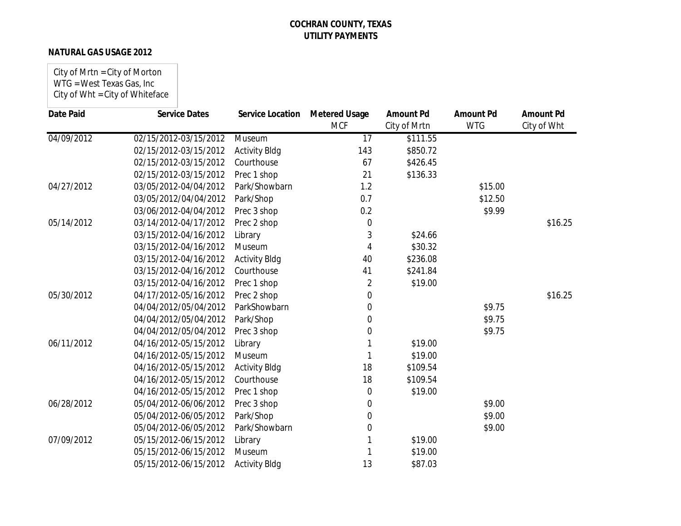### **NATURAL GAS USAGE 2012**

| City of Mrtn = City of Morton   |
|---------------------------------|
| WTG = West Texas Gas, Inc       |
| City of Wht = City of Whiteface |

| Date Paid  | <b>Service Dates</b>  | <b>Service Location</b> | <b>Metered Usage</b> | <b>Amount Pd</b> | <b>Amount Pd</b> | <b>Amount Pd</b> |
|------------|-----------------------|-------------------------|----------------------|------------------|------------------|------------------|
|            |                       |                         | <b>MCF</b>           | City of Mrtn     | <b>WTG</b>       | City of Wht      |
| 04/09/2012 | 02/15/2012-03/15/2012 | Museum                  | $\overline{17}$      | \$111.55         |                  |                  |
|            | 02/15/2012-03/15/2012 | <b>Activity Bldg</b>    | 143                  | \$850.72         |                  |                  |
|            | 02/15/2012-03/15/2012 | Courthouse              | 67                   | \$426.45         |                  |                  |
|            | 02/15/2012-03/15/2012 | Prec 1 shop             | 21                   | \$136.33         |                  |                  |
| 04/27/2012 | 03/05/2012-04/04/2012 | Park/Showbarn           | 1.2                  |                  | \$15.00          |                  |
|            | 03/05/2012/04/04/2012 | Park/Shop               | 0.7                  |                  | \$12.50          |                  |
|            | 03/06/2012-04/04/2012 | Prec 3 shop             | 0.2                  |                  | \$9.99           |                  |
| 05/14/2012 | 03/14/2012-04/17/2012 | Prec 2 shop             | 0                    |                  |                  | \$16.25          |
|            | 03/15/2012-04/16/2012 | Library                 | 3                    | \$24.66          |                  |                  |
|            | 03/15/2012-04/16/2012 | Museum                  | 4                    | \$30.32          |                  |                  |
|            | 03/15/2012-04/16/2012 | <b>Activity Bldg</b>    | 40                   | \$236.08         |                  |                  |
|            | 03/15/2012-04/16/2012 | Courthouse              | 41                   | \$241.84         |                  |                  |
|            | 03/15/2012-04/16/2012 | Prec 1 shop             | 2                    | \$19.00          |                  |                  |
| 05/30/2012 | 04/17/2012-05/16/2012 | Prec 2 shop             | $\Omega$             |                  |                  | \$16.25          |
|            | 04/04/2012/05/04/2012 | ParkShowbarn            | 0                    |                  | \$9.75           |                  |
|            | 04/04/2012/05/04/2012 | Park/Shop               | 0                    |                  | \$9.75           |                  |
|            | 04/04/2012/05/04/2012 | Prec 3 shop             | 0                    |                  | \$9.75           |                  |
| 06/11/2012 | 04/16/2012-05/15/2012 | Library                 |                      | \$19.00          |                  |                  |
|            | 04/16/2012-05/15/2012 | Museum                  |                      | \$19.00          |                  |                  |
|            | 04/16/2012-05/15/2012 | <b>Activity Bldg</b>    | 18                   | \$109.54         |                  |                  |
|            | 04/16/2012-05/15/2012 | Courthouse              | 18                   | \$109.54         |                  |                  |
|            | 04/16/2012-05/15/2012 | Prec 1 shop             | 0                    | \$19.00          |                  |                  |
| 06/28/2012 | 05/04/2012-06/06/2012 | Prec 3 shop             | 0                    |                  | \$9.00           |                  |
|            | 05/04/2012-06/05/2012 | Park/Shop               | 0                    |                  | \$9.00           |                  |
|            | 05/04/2012-06/05/2012 | Park/Showbarn           | 0                    |                  | \$9.00           |                  |
| 07/09/2012 | 05/15/2012-06/15/2012 | Library                 |                      | \$19.00          |                  |                  |
|            | 05/15/2012-06/15/2012 | Museum                  |                      | \$19.00          |                  |                  |
|            | 05/15/2012-06/15/2012 | <b>Activity Bldg</b>    | 13                   | \$87.03          |                  |                  |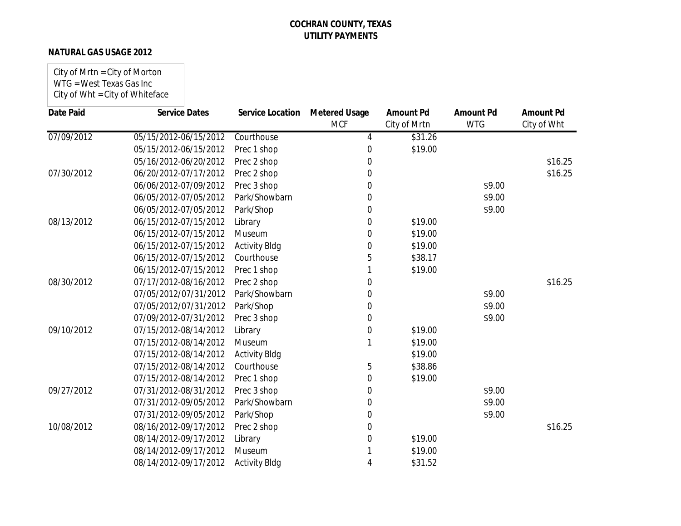### **NATURAL GAS USAGE 2012**

City of Mrtn = City of Morton WTG = West Texas Gas Inc City of Wht = City of Whiteface

| <b>Date Paid</b> | <b>Service Dates</b>  | Service Location     | <b>Metered Usage</b><br><b>MCF</b> | <b>Amount Pd</b><br>City of Mrtn | <b>Amount Pd</b><br><b>WTG</b> | <b>Amount Pd</b><br>City of Wht |
|------------------|-----------------------|----------------------|------------------------------------|----------------------------------|--------------------------------|---------------------------------|
| 07/09/2012       | 05/15/2012-06/15/2012 | Courthouse           | 4                                  | \$31.26                          |                                |                                 |
|                  | 05/15/2012-06/15/2012 |                      | $\Omega$                           | \$19.00                          |                                |                                 |
|                  | 05/16/2012-06/20/2012 | Prec 1 shop          | 0                                  |                                  |                                | \$16.25                         |
| 07/30/2012       |                       | Prec 2 shop          |                                    |                                  |                                | \$16.25                         |
|                  | 06/20/2012-07/17/2012 | Prec 2 shop          | 0                                  |                                  |                                |                                 |
|                  | 06/06/2012-07/09/2012 | Prec 3 shop          | 0                                  |                                  | \$9.00                         |                                 |
|                  | 06/05/2012-07/05/2012 | Park/Showbarn        | 0                                  |                                  | \$9.00                         |                                 |
|                  | 06/05/2012-07/05/2012 | Park/Shop            | 0                                  |                                  | \$9.00                         |                                 |
| 08/13/2012       | 06/15/2012-07/15/2012 | Library              | 0                                  | \$19.00                          |                                |                                 |
|                  | 06/15/2012-07/15/2012 | Museum               | $\Omega$                           | \$19.00                          |                                |                                 |
|                  | 06/15/2012-07/15/2012 | <b>Activity Bldg</b> | 0                                  | \$19.00                          |                                |                                 |
|                  | 06/15/2012-07/15/2012 | Courthouse           | 5                                  | \$38.17                          |                                |                                 |
|                  | 06/15/2012-07/15/2012 | Prec 1 shop          |                                    | \$19.00                          |                                |                                 |
| 08/30/2012       | 07/17/2012-08/16/2012 | Prec 2 shop          | 0                                  |                                  |                                | \$16.25                         |
|                  | 07/05/2012/07/31/2012 | Park/Showbarn        | 0                                  |                                  | \$9.00                         |                                 |
|                  | 07/05/2012/07/31/2012 | Park/Shop            | 0                                  |                                  | \$9.00                         |                                 |
|                  | 07/09/2012-07/31/2012 | Prec 3 shop          | 0                                  |                                  | \$9.00                         |                                 |
| 09/10/2012       | 07/15/2012-08/14/2012 | Library              | 0                                  | \$19.00                          |                                |                                 |
|                  | 07/15/2012-08/14/2012 | Museum               |                                    | \$19.00                          |                                |                                 |
|                  | 07/15/2012-08/14/2012 | <b>Activity Bldg</b> |                                    | \$19.00                          |                                |                                 |
|                  | 07/15/2012-08/14/2012 | Courthouse           | 5                                  | \$38.86                          |                                |                                 |
|                  | 07/15/2012-08/14/2012 | Prec 1 shop          | 0                                  | \$19.00                          |                                |                                 |
| 09/27/2012       | 07/31/2012-08/31/2012 | Prec 3 shop          | 0                                  |                                  | \$9.00                         |                                 |
|                  | 07/31/2012-09/05/2012 | Park/Showbarn        | 0                                  |                                  | \$9.00                         |                                 |
|                  | 07/31/2012-09/05/2012 | Park/Shop            | 0                                  |                                  | \$9.00                         |                                 |
| 10/08/2012       | 08/16/2012-09/17/2012 | Prec 2 shop          | 0                                  |                                  |                                | \$16.25                         |
|                  | 08/14/2012-09/17/2012 | Library              | 0                                  | \$19.00                          |                                |                                 |
|                  | 08/14/2012-09/17/2012 | Museum               |                                    | \$19.00                          |                                |                                 |
|                  | 08/14/2012-09/17/2012 | <b>Activity Bldg</b> | 4                                  | \$31.52                          |                                |                                 |